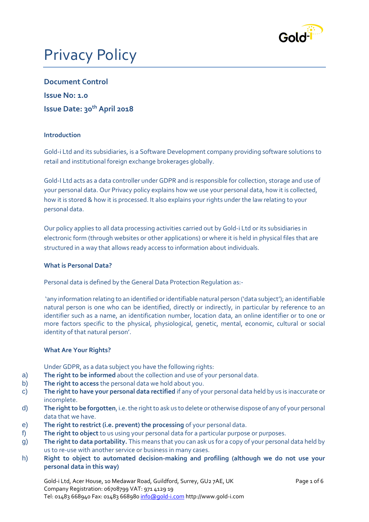

# Privacy Policy

**Document Control Issue No: 1.0 Issue Date: 30th April 2018**

## **Introduction**

Gold-i Ltd and its subsidiaries, is a Software Development company providing software solutions to retail and institutional foreign exchange brokerages globally.

Gold-I Ltd acts as a data controller under GDPR and is responsible for collection, storage and use of your personal data. Our Privacy policy explains how we use your personal data, how it is collected, how it is stored & how it is processed. It also explains your rights under the law relating to your personal data.

Our policy applies to all data processing activities carried out by Gold-i Ltd or its subsidiaries in electronic form (through websites or other applications) or where it is held in physical files that are structured in a way that allows ready access to information about individuals.

#### **What is Personal Data?**

Personal data is defined by the General Data Protection Regulation as:-

'any information relating to an identified or identifiable natural person ('data subject'); an identifiable natural person is one who can be identified, directly or indirectly, in particular by reference to an identifier such as a name, an identification number, location data, an online identifier or to one or more factors specific to the physical, physiological, genetic, mental, economic, cultural or social identity of that natural person'.

# **What Are Your Rights?**

Under GDPR, as a data subject you have the following rights:

- a) **The right to be informed** about the collection and use of your personal data.
- b) **The right to access** the personal data we hold about you.
- c) **The right to have your personal data rectified** if any of your personal data held by us is inaccurate or incomplete.
- d) **The right to be forgotten**, i.e. the right to ask us to delete or otherwise dispose of any of your personal data that we have.
- e) **The right to restrict (i.e. prevent) the processing** of your personal data.
- f) **The right to object** to us using your personal data for a particular purpose or purposes.
- g) **The right to data portability.** This means that you can ask us for a copy of your personal data held by us to re-use with another service or business in many cases.
- h) **Right to object to automated decision-making and profiling (although we do not use your personal data in this way)**

Gold-i Ltd, Acer House, 10 Medawar Road, Guildford, Surrey, GU2 7AE, UK Page 1 of 6 Company Registration: 06708799 VAT: 971 4129 19 Tel: 01483 668940 Fax: 01483 668980 [info@gold-i.com](mailto:info@gold-i.com) http://www.gold-i.com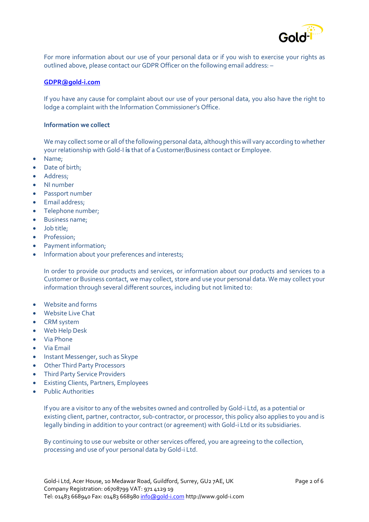

For more information about our use of your personal data or if you wish to exercise your rights as outlined above, please contact our GDPR Officer on the following email address: –

#### **[GDPR@gold-i.com](mailto:GDPR@gold-i.com)**

If you have any cause for complaint about our use of your personal data, you also have the right to lodge a complaint with the Information Commissioner's Office.

#### **Information we collect**

We may collect some or all of the following personal data, although this will vary according to whether your relationship with Gold-I **is** that of a Customer/Business contact or Employee.

- Name;
- Date of birth;
- Address;
- NI number
- Passport number
- Email address;
- Telephone number;
- Business name;
- Job title;
- Profession;
- Payment information;
- Information about your preferences and interests;

In order to provide our products and services, or information about our products and services to a Customer or Business contact, we may collect, store and use your personal data. We may collect your information through several different sources, including but not limited to:

- Website and forms
- Website Live Chat
- CRM system
- Web Help Desk
- Via Phone
- Via Email
- Instant Messenger, such as Skype
- Other Third Party Processors
- Third Party Service Providers
- Existing Clients, Partners, Employees
- Public Authorities

If you are a visitor to any of the websites owned and controlled by Gold-i Ltd, as a potential or existing client, partner, contractor, sub-contractor, or processor, this policy also applies to you and is legally binding in addition to your contract (or agreement) with Gold-i Ltd or its subsidiaries.

By continuing to use our website or other services offered, you are agreeing to the collection, processing and use of your personal data by Gold-i Ltd.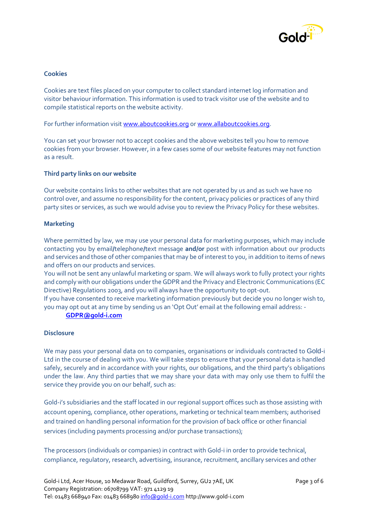

## **Cookies**

Cookies are text files placed on your computer to collect standard internet log information and visitor behaviour information. This information is used to track visitor use of the website and to compile statistical reports on the website activity.

For further information visit [www.aboutcookies.org](http://www.aboutcookies.org/) o[r www.allaboutcookies.org.](http://www.allaboutcookies.org/)

You can set your browser not to accept cookies and the above websites tell you how to remove cookies from your browser. However, in a few cases some of our website features may not function as a result.

## **Third party links on our website**

Our website contains links to other websites that are not operated by us and as such we have no control over, and assume no responsibility for the content, privacy policies or practices of any third party sites or services, as such we would advise you to review the Privacy Policy for these websites.

## **Marketing**

Where permitted by law, we may use your personal data for marketing purposes, which may include contacting you by email**/**telephone**/**text message **and/or** post with information about our products and services and those of other companies that may be of interest to you, in addition to items of news and offers on our products and services.

You will not be sent any unlawful marketing or spam. We will always work to fully protect your rights and comply with our obligations under the GDPR and the Privacy and Electronic Communications (EC Directive) Regulations 2003, and you will always have the opportunity to opt-out.

If you have consented to receive marketing information previously but decide you no longer wish to, you may opt out at any time by sending us an 'Opt Out' email at the following email address: -

## **[GDPR@gold-i.com](mailto:GDPR@gold-i.com)**

#### **Disclosure**

We may pass your personal data on to companies, organisations or individuals contracted to Gold-i Ltd in the course of dealing with you. We will take steps to ensure that your personal data is handled safely, securely and in accordance with your rights, our obligations, and the third party's obligations under the law. Any third parties that we may share your data with may only use them to fulfil the service they provide you on our behalf, such as:

Gold-i's subsidiaries and the staff located in our regional support offices such as those assisting with account opening, compliance, other operations, marketing or technical team members; authorised and trained on handling personal information for the provision of back office or other financial services (including payments processing and/or purchase transactions);

The processors (individuals or companies) in contract with Gold-i in order to provide technical, compliance, regulatory, research, advertising, insurance, recruitment, ancillary services and other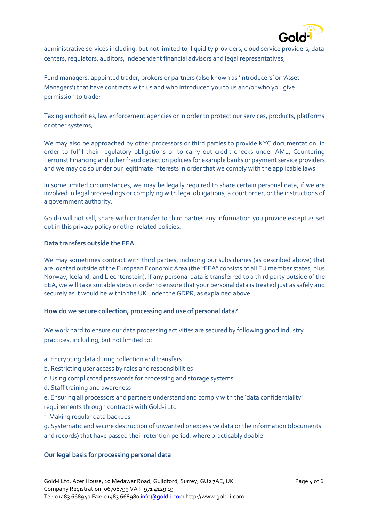

administrative services including, but not limited to, liquidity providers, cloud service providers, data centers, regulators, auditors, independent financial advisors and legal representatives;

Fund managers, appointed trader, brokers or partners (also known as 'Introducers' or 'Asset Managers') that have contracts with us and who introduced you to us and/or who you give permission to trade;

Taxing authorities, law enforcement agencies or in order to protect our services, products, platforms or other systems;

We may also be approached by other processors or third parties to provide KYC documentation in order to fulfil their regulatory obligations or to carry out credit checks under AML, Countering Terrorist Financing and other fraud detection policies for example banks or payment service providers and we may do so under our legitimate interests in order that we comply with the applicable laws.

In some limited circumstances, we may be legally required to share certain personal data, if we are involved in legal proceedings or complying with legal obligations, a court order, or the instructions of a government authority.

Gold-i will not sell, share with or transfer to third parties any information you provide except as set out in this privacy policy or other related policies.

## **Data transfers outside the EEA**

We may sometimes contract with third parties, including our subsidiaries (as described above) that are located outside of the European Economic Area (the "EEA" consists of all EU member states, plus Norway, Iceland, and Liechtenstein). If any personal data is transferred to a third party outside of the EEA, we will take suitable steps in order to ensure that your personal data is treated just as safely and securely as it would be within the UK under the GDPR, as explained above.

#### **How do we secure collection, processing and use of personal data?**

We work hard to ensure our data processing activities are secured by following good industry practices, including, but not limited to:

- a. Encrypting data during collection and transfers
- b. Restricting user access by roles and responsibilities
- c. Using complicated passwords for processing and storage systems
- d. Staff training and awareness
- e. Ensuring all processors and partners understand and comply with the 'data confidentiality' requirements through contracts with Gold-i Ltd
- f. Making regular data backups

g. Systematic and secure destruction of unwanted or excessive data or the information (documents and records) that have passed their retention period, where practicably doable

# **Our legal basis for processing personal data**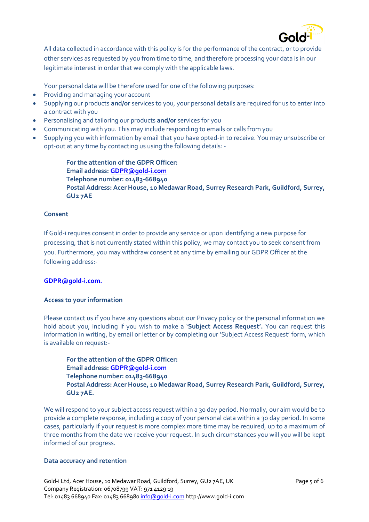

All data collected in accordance with this policy is for the performance of the contract, or to provide other services as requested by you from time to time, and therefore processing your data is in our legitimate interest in order that we comply with the applicable laws.

Your personal data will be therefore used for one of the following purposes:

- Providing and managing your account
- Supplying our products **and/or** services to you, your personal details are required for us to enter into a contract with you
- Personalising and tailoring our products **and/or** services for you
- Communicating with you. This may include responding to emails or calls from you
- Supplying you with information by email that you have opted-in to receive. You may unsubscribe or opt-out at any time by contacting us using the following details: -

**For the attention of the GDPR Officer: Email address: [GDPR@gold-i.com](mailto:GDPR@gold-i.com) Telephone number: 01483-668940 Postal Address: Acer House, 10 Medawar Road, Surrey Research Park, Guildford, Surrey, GU2 7AE**

# **Consent**

If Gold-i requires consent in order to provide any service or upon identifying a new purpose for processing, that is not currently stated within this policy, we may contact you to seek consent from you. Furthermore, you may withdraw consent at any time by emailing our GDPR Officer at the following address:-

# **[GDPR@gold-i.com.](mailto:GDPR@gold-i.com)**

# **Access to your information**

Please contact us if you have any questions about our Privacy policy or the personal information we hold about you, including if you wish to make a '**Subject Access Request'.** You can request this information in writing, by email or letter or by completing our 'Subject Access Request' form, which is available on request:-

**For the attention of the GDPR Officer: Email address: [GDPR@gold-i.com](mailto:GDPR@gold-i.com) Telephone number: 01483-668940 Postal Address: Acer House, 10 Medawar Road, Surrey Research Park, Guildford, Surrey, GU2 7AE.**

We will respond to your subject access request within a 30 day period. Normally, our aim would be to provide a complete response, including a copy of your personal data within a 30 day period. In some cases, particularly if your request is more complex more time may be required, up to a maximum of three months from the date we receive your request. In such circumstances you will you will be kept informed of our progress.

# **Data accuracy and retention**